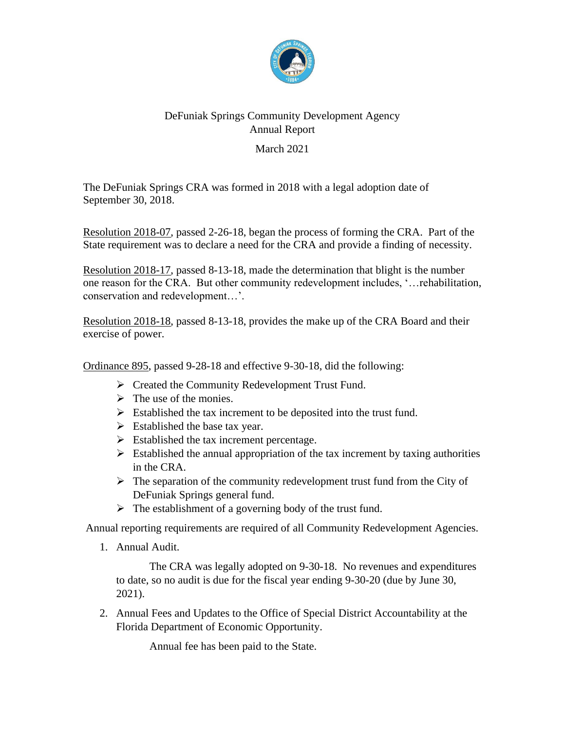

## DeFuniak Springs Community Development Agency Annual Report March 2021

The DeFuniak Springs CRA was formed in 2018 with a legal adoption date of September 30, 2018.

Resolution 2018-07, passed 2-26-18, began the process of forming the CRA. Part of the State requirement was to declare a need for the CRA and provide a finding of necessity.

Resolution 2018-17, passed 8-13-18, made the determination that blight is the number one reason for the CRA. But other community redevelopment includes, '…rehabilitation, conservation and redevelopment…'.

Resolution 2018-18, passed 8-13-18, provides the make up of the CRA Board and their exercise of power.

Ordinance 895, passed 9-28-18 and effective 9-30-18, did the following:

- ➢ Created the Community Redevelopment Trust Fund.
- $\triangleright$  The use of the monies.
- $\triangleright$  Established the tax increment to be deposited into the trust fund.
- $\triangleright$  Established the base tax year.
- $\triangleright$  Established the tax increment percentage.
- $\triangleright$  Established the annual appropriation of the tax increment by taxing authorities in the CRA.
- $\triangleright$  The separation of the community redevelopment trust fund from the City of DeFuniak Springs general fund.
- ➢ The establishment of a governing body of the trust fund.

Annual reporting requirements are required of all Community Redevelopment Agencies.

1. Annual Audit.

The CRA was legally adopted on 9-30-18. No revenues and expenditures to date, so no audit is due for the fiscal year ending 9-30-20 (due by June 30, 2021).

2. Annual Fees and Updates to the Office of Special District Accountability at the Florida Department of Economic Opportunity.

Annual fee has been paid to the State.